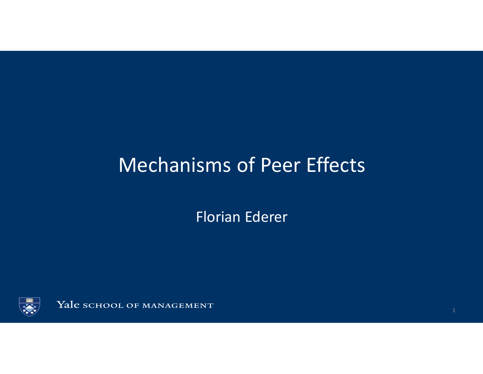## Mechanisms of Peer Effects

Florian Ederer

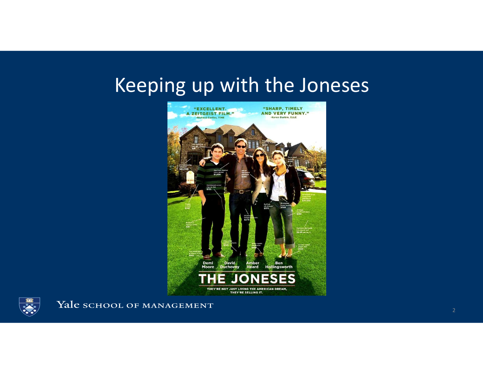## Keeping up with the Joneses



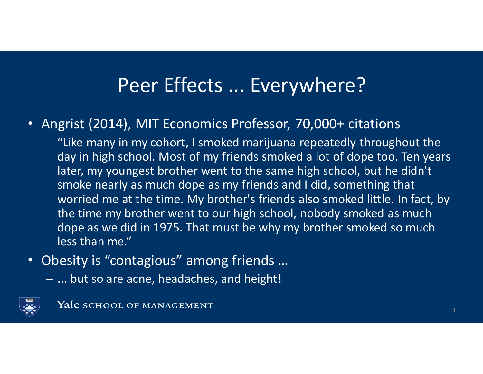### Peer Effects ... Everywhere?

- • Angrist (2014), MIT Economics Professor, 70,000+ citations
	- "Like many in my cohort, I smoked marijuana repeatedly throughout the day in high school. Most of my friends smoked a lot of dope too. Ten years later, my youngest brother went to the same high school, but he didn't smoke nearly as much dope as my friends and I did, something that worried me at the time. My brother's friends also smoked little. In fact, by the time my brother went to our high school, nobody smoked as much dope as we did in 1975. That must be why my brother smoked so much less than me."
- $\bullet$  Obesity is "contagious" among friends …
	- $-$  hut co are acne headaches and height  $-$  ... but so are acne, headaches, and height!

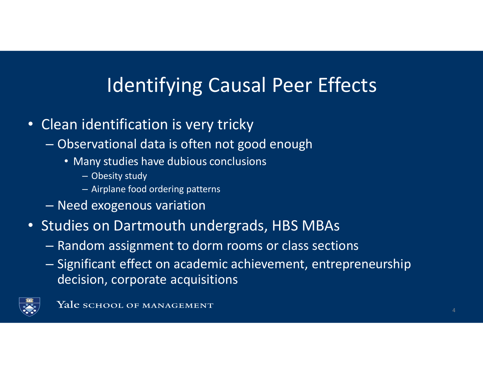# Identifying Causal Peer Effects

- Clean identification is very tricky
	- – Observational data is often not good enough
		- Many studies have dubious conclusions
			- Obesity study
			- Airplane food ordering patterns
	- $\mathcal{L}_{\mathcal{A}}$  , where  $\mathcal{L}_{\mathcal{A}}$  is the set of the set of the set of the set of the set of the set of the set of the set of the set of the set of the set of the set of the set of the set of the set of the set of the Need exogenous variation
- Studies on Dartmouth undergrads, HBS MBAs
	- $\mathcal{L}_{\mathcal{A}}$  , where  $\mathcal{L}_{\mathcal{A}}$  is the set of the set of the set of the set of the set of the set of the set of the set of the set of the set of the set of the set of the set of the set of the set of the set of the  $-$  Random assignment to dorm rooms or class sections
	- $\mathcal{L}_{\mathcal{A}}$  , where  $\mathcal{L}_{\mathcal{A}}$  is the set of the set of the set of the set of the set of the set of the set of the set of the set of the set of the set of the set of the set of the set of the set of the set of the - Significant effect on academic achievement, entrepreneurship decision, corporate acquisitions

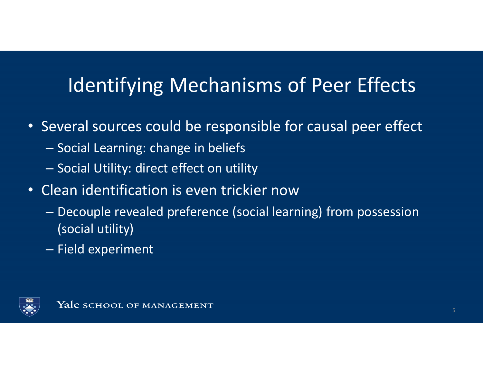# Identifying Mechanisms of Peer Effects

- Several sources could be responsible for causal peer effect
	- – $-$  Social Learning: change in beliefs
	- – $-$  Social Utility: direct effect on utility
- Clean identification is even trickier now
	- – Decouple revealed preference (social learning) from possession (social utility)
	- $\mathcal{L}_{\mathcal{A}}$  , where  $\mathcal{L}_{\mathcal{A}}$  is the set of the set of the set of the set of the set of the set of the set of the set of the set of the set of the set of the set of the set of the set of the set of the set of the  $-$  Field experiment

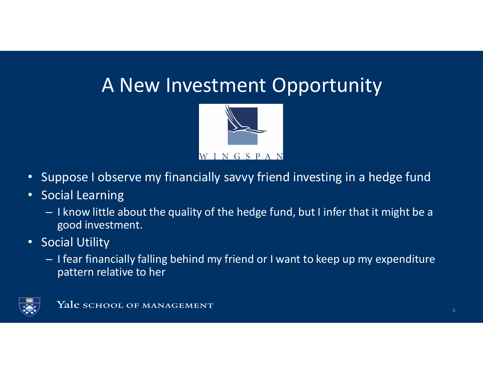#### A New Investment Opportunity



- •Suppose I observe my financially savvy friend investing in a hedge fund
- • Social Learning
	- I know little about the quality of the hedge fund, but I infer that it might be a good investment.
- • Social Utility
	- I fear financially falling behind my friend or I want to keep up my expenditure pattern relative to her

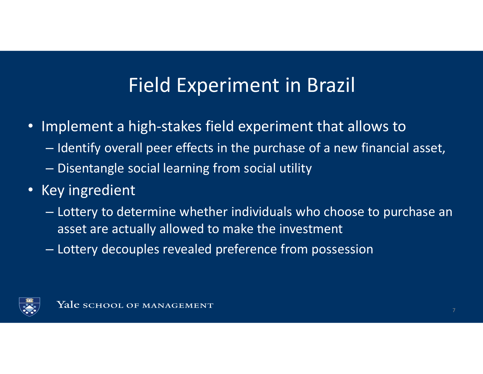### Field Experiment in Brazil

- Implement a high-stakes field experiment that allows to
	- – $-$  Identify overall peer effects in the purchase of a new financial asset,  $\,$
	- – $-$  Disentangle social learning from social utility
- Key ingredient
	- – Lottery to determine whether individuals who choose to purchase an asset are actually allowed to make the investment
	- $\mathcal{L}_{\mathcal{A}}$  , where  $\mathcal{L}_{\mathcal{A}}$  is the set of the set of the set of the set of the set of the set of the set of the set of the set of the set of the set of the set of the set of the set of the set of the set of the  $-$  Lottery decouples revealed preference from possession

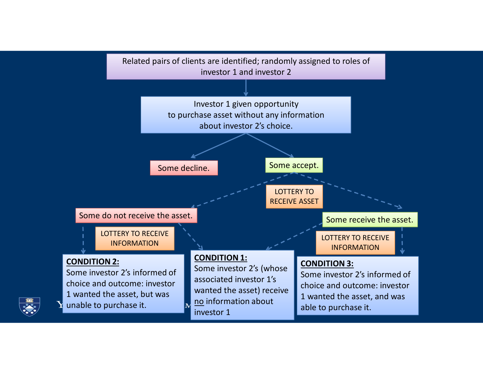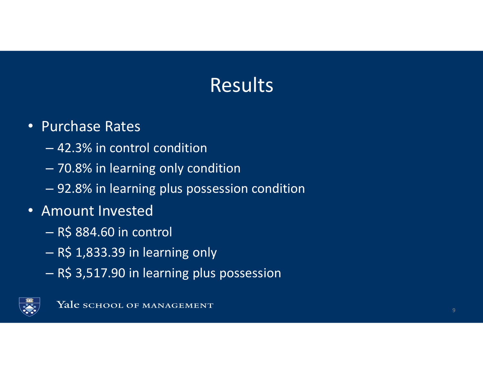# Results

#### • Purchase Rates

- –42.3% in control condition
- –70.8% in learning only condition
- $\mathcal{L}_{\mathcal{A}}$  , where  $\mathcal{L}_{\mathcal{A}}$  is the set of the set of the set of the set of the set of the set of the set of the set of the set of the set of the set of the set of the set of the set of the set of the set of the 92.8% in learning plus possession condition
- Amount Invested
	- – $-$  R\$ 884.60 in control
	- – $-$  R\$ 1,833.39 in learning only
	- $\mathcal{L}_{\mathcal{A}}$ R\$ 3,517.90 in learning plus possession

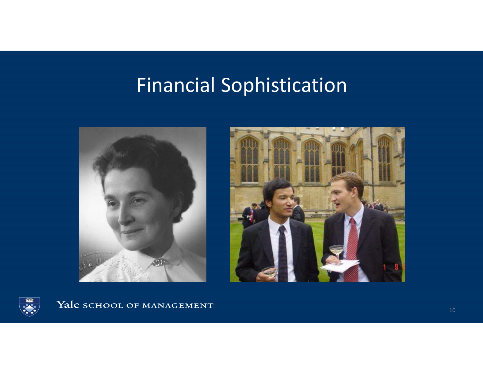## Financial Sophistication





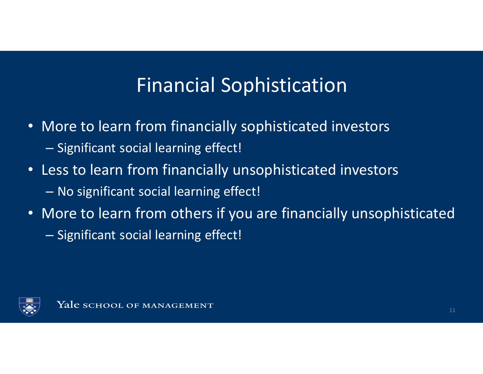## Financial Sophistication

- More to learn from financially sophisticated investors– $-$  Significant social learning effect!
- Less to learn from financially unsophisticated investors–No significant social learning effect!
- More to learn from others if you are financially unsophisticated $\mathcal{L}_{\mathcal{A}}$  , where  $\mathcal{L}_{\mathcal{A}}$  is the set of the set of the set of the set of the set of the set of the set of the set of the set of the set of the set of the set of the set of the set of the set of the set of the  $-$  Significant social learning effect!